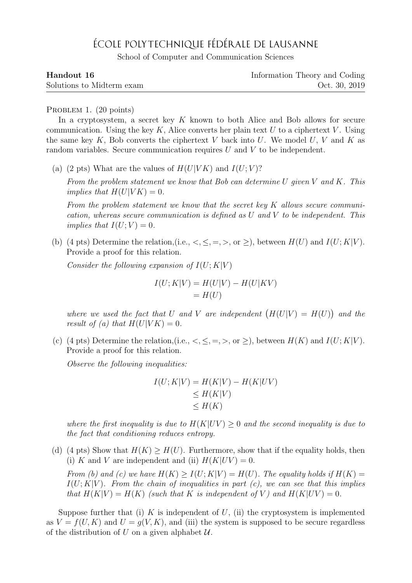## ÉCOLE POLYTECHNIQUE FÉDÉRALE DE LAUSANNE

School of Computer and Communication Sciences

| Handout 16                | Information Theory and Coding |
|---------------------------|-------------------------------|
| Solutions to Midterm exam | Oct. 30, 2019                 |

## PROBLEM 1. (20 points)

In a cryptosystem, a secret key  $K$  known to both Alice and Bob allows for secure communication. Using the key K, Alice converts her plain text U to a ciphertext V. Using the same key K, Bob converts the ciphertext V back into U. We model U, V and K as random variables. Secure communication requires U and V to be independent.

(a) (2 pts) What are the values of  $H(U|VK)$  and  $I(U; V)$ ?

From the problem statement we know that Bob can determine U given V and K. This implies that  $H(U|VK) = 0$ .

From the problem statement we know that the secret key K allows secure communication, whereas secure communication is defined as  $U$  and  $V$  to be independent. This implies that  $I(U;V) = 0$ .

(b) (4 pts) Determine the relation, (i.e.,  $\lt$ ,  $\leq$ ,  $\gt$ ,  $\lt$ ,  $\gt$ ), between  $H(U)$  and  $I(U;K|V)$ . Provide a proof for this relation.

Consider the following expansion of  $I(U;K|V)$ 

$$
I(U;K|V) = H(U|V) - H(U|KV)
$$
  
= H(U)

where we used the fact that U and V are independent  $(H(U|V) = H(U))$  and the result of (a) that  $H(U|VK) = 0$ .

(c) (4 pts) Determine the relation, (i.e.,  $\lt$ ,  $\leq$ ,  $\gt$ , or  $\geq$ ), between  $H(K)$  and  $I(U;K|V)$ . Provide a proof for this relation.

Observe the following inequalities:

$$
I(U;K|V) = H(K|V) - H(K|UV)
$$
  
\n
$$
\leq H(K|V)
$$
  
\n
$$
\leq H(K)
$$

where the first inequality is due to  $H(K|UV) \geq 0$  and the second inequality is due to the fact that conditioning reduces entropy.

(d) (4 pts) Show that  $H(K) > H(U)$ . Furthermore, show that if the equality holds, then (i) K and V are independent and (ii)  $H(K|UV) = 0$ .

From (b) and (c) we have  $H(K) > I(U; K|V) = H(U)$ . The equality holds if  $H(K) =$  $I(U;K|V)$ . From the chain of inequalities in part (c), we can see that this implies that  $H(K|V) = H(K)$  (such that K is independent of V) and  $H(K|UV) = 0$ .

Suppose further that (i) K is independent of U, (ii) the cryptosystem is implemented as  $V = f(U, K)$  and  $U = g(V, K)$ , and (iii) the system is supposed to be secure regardless of the distribution of U on a given alphabet  $U$ .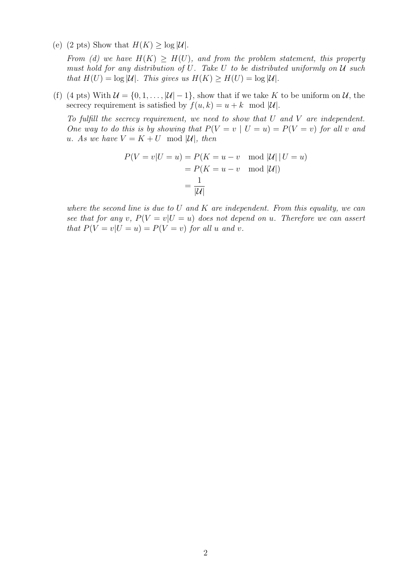(e) (2 pts) Show that  $H(K) \geq \log |\mathcal{U}|$ .

From (d) we have  $H(K) \geq H(U)$ , and from the problem statement, this property must hold for any distribution of U. Take U to be distributed uniformly on  $U$  such that  $H(U) = \log |\mathcal{U}|$ . This gives us  $H(K) \geq H(U) = \log |\mathcal{U}|$ .

(f) (4 pts) With  $\mathcal{U} = \{0, 1, \ldots, |\mathcal{U}| - 1\}$ , show that if we take K to be uniform on U, the secrecy requirement is satisfied by  $f(u, k) = u + k \mod |\mathcal{U}|$ .

To fulfill the secrecy requirement, we need to show that  $U$  and  $V$  are independent. One way to do this is by showing that  $P(V = v \mid U = u) = P(V = v)$  for all v and u. As we have  $V = K + U \mod |\mathcal{U}|$ , then

$$
P(V = v|U = u) = P(K = u - v \mod |U| | U = u)
$$

$$
= P(K = u - v \mod |U|)
$$

$$
= \frac{1}{|U|}
$$

where the second line is due to  $U$  and  $K$  are independent. From this equality, we can see that for any v,  $P(V = v|U = u)$  does not depend on u. Therefore we can assert that  $P(V = v | U = u) = P(V = v)$  for all u and v.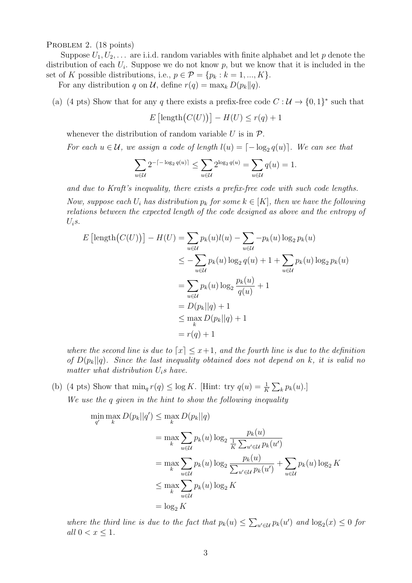PROBLEM 2. (18 points)

Suppose  $U_1, U_2, \ldots$  are i.i.d. random variables with finite alphabet and let p denote the distribution of each  $U_i$ . Suppose we do not know p, but we know that it is included in the set of K possible distributions, i.e.,  $p \in \mathcal{P} = \{p_k : k = 1, ..., K\}.$ 

For any distribution q on U, define  $r(q) = \max_k D(p_k||q)$ .

(a) (4 pts) Show that for any q there exists a prefix-free code  $C: \mathcal{U} \to \{0,1\}^*$  such that

$$
E\left[\text{length}\big(C(U)\big)\right] - H(U) \le r(q) + 1
$$

whenever the distribution of random variable U is in  $\mathcal{P}$ .

For each  $u \in \mathcal{U}$ , we assign a code of length  $l(u) = \lceil -\log_2 q(u) \rceil$ . We can see that

$$
\sum_{u \in \mathcal{U}} 2^{-\lceil -\log_2 q(u) \rceil} \le \sum_{u \in \mathcal{U}} 2^{\log_2 q(u)} = \sum_{u \in \mathcal{U}} q(u) = 1.
$$

and due to Kraft's inequality, there exists a prefix-free code with such code lengths.

Now, suppose each  $U_i$  has distribution  $p_k$  for some  $k \in [K]$ , then we have the following relations between the expected length of the code designed as above and the entropy of  $U_i$ s.

$$
E\left[\text{length}\left(C(U)\right)\right] - H(U) = \sum_{u \in \mathcal{U}} p_k(u)l(u) - \sum_{u \in \mathcal{U}} -p_k(u)\log_2 p_k(u)
$$
  
\n
$$
\leq -\sum_{u \in \mathcal{U}} p_k(u)\log_2 q(u) + 1 + \sum_{u \in \mathcal{U}} p_k(u)\log_2 p_k(u)
$$
  
\n
$$
= \sum_{u \in \mathcal{U}} p_k(u)\log_2 \frac{p_k(u)}{q(u)} + 1
$$
  
\n
$$
= D(p_k||q) + 1
$$
  
\n
$$
\leq \max_k D(p_k||q) + 1
$$
  
\n
$$
= r(q) + 1
$$

where the second line is due to  $\lceil x \rceil \leq x+1$ , and the fourth line is due to the definition of  $D(p_k||q)$ . Since the last inequality obtained does not depend on k, it is valid no matter what distribution  $U_i$ s have.

(b) (4 pts) Show that  $\min_q r(q) \leq \log K$ . [Hint: try  $q(u) = \frac{1}{K} \sum_k p_k(u)$ .] We use the q given in the hint to show the following inequality

$$
\min_{q'} \max_{k} D(p_k||q') \leq \max_{k} D(p_k||q)
$$
\n
$$
= \max_{k} \sum_{u \in \mathcal{U}} p_k(u) \log_2 \frac{p_k(u)}{\frac{1}{K} \sum_{u' \in \mathcal{U}} p_k(u')}
$$
\n
$$
= \max_{k} \sum_{u \in \mathcal{U}} p_k(u) \log_2 \frac{p_k(u)}{\sum_{u' \in \mathcal{U}} p_k(u')} + \sum_{u \in \mathcal{U}} p_k(u) \log_2 K
$$
\n
$$
\leq \max_{k} \sum_{u \in \mathcal{U}} p_k(u) \log_2 K
$$
\n
$$
= \log_2 K
$$

where the third line is due to the fact that  $p_k(u) \leq \sum_{u' \in \mathcal{U}} p_k(u')$  and  $\log_2(x) \leq 0$  for all  $0 < x \leq 1$ .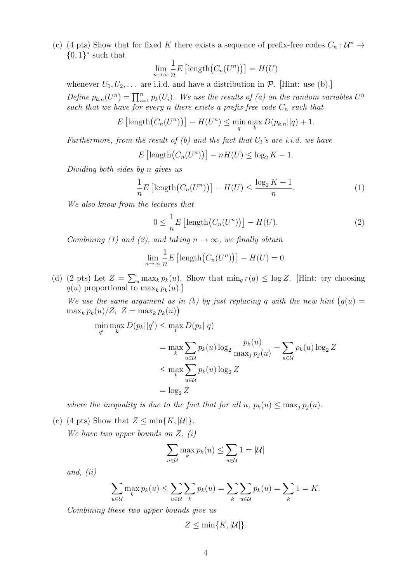(c) (4 pts) Show that for fixed K there exists a sequence of prefix-free codes  $C_n: \mathcal{U}^n \to$  $\{0,1\}^*$  such that

$$
\lim_{n \to \infty} \frac{1}{n} E \left[ \text{length} \big( C_n(U^n) \big) \right] = H(U)
$$

whenever  $U_1, U_2, \ldots$  are i.i.d. and have a distribution in  $\mathcal{P}$ . [Hint: use (b).] Define  $p_{k,n}(U^n) = \prod_{i=1}^n p_k(U_i)$ . We use the results of (a) on the random variables  $U^n$ such that we have for every n there exists a prefix-free code  $C_n$  such that

$$
E\left[\operatorname{length}\left(C_n(U^n)\right)\right] - H(U^n) \le \min_q \max_k D(p_{k,n}||q) + 1.
$$

Furthermore, from the result of  $(b)$  and the fact that  $U_i$ 's are i.i.d. we have

$$
E\left[\operatorname{length}\left(C_n(U^n)\right)\right] - nH(U) \le \log_2 K + 1.
$$

Dividing both sides by n gives us

$$
\frac{1}{n}E\left[\text{length}\big(C_n(U^n)\big)\right] - H(U) \le \frac{\log_2 K + 1}{n}.\tag{1}
$$

We also know from the lectures that

$$
0 \leq \frac{1}{n} E \left[ \text{length} \left( C_n(U^n) \right) \right] - H(U). \tag{2}
$$

Combining (1) and (2), and taking  $n \to \infty$ , we finally obtain

$$
\lim_{n \to \infty} \frac{1}{n} E \left[ \text{length} \big( C_n(U^n) \big) \right] - H(U) = 0.
$$

(d) (2 pts) Let  $Z = \sum_{u} \max_{k} p_k(u)$ . Show that  $\min_q r(q) \le \log Z$ . [Hint: try choosing  $q(u)$  proportional to  $\max_k p_k(u)$ .

We use the same argument as in (b) by just replacing q with the new hint  $(q(u))$  $\max_k p_k(u)/Z, Z = \max_k p_k(u)$ 

$$
\min_{q'} \max_{k} D(p_k||q') \leq \max_{k} D(p_k||q)
$$
\n
$$
= \max_{k} \sum_{u \in \mathcal{U}} p_k(u) \log_2 \frac{p_k(u)}{\max_j p_j(u)} + \sum_{u \in \mathcal{U}} p_k(u) \log_2 Z
$$
\n
$$
\leq \max_{k} \sum_{u \in \mathcal{U}} p_k(u) \log_2 Z
$$
\n
$$
= \log_2 Z
$$

where the inequality is due to the fact that for all u,  $p_k(u) \leq \max_j p_i(u)$ .

(e) (4 pts) Show that  $Z \le \min\{K, |\mathcal{U}|\}.$ 

We have two upper bounds on  $Z$ ,  $(i)$ 

$$
\sum_{u \in \mathcal{U}} \max_{k} p_k(u) \le \sum_{u \in \mathcal{U}} 1 = |\mathcal{U}|
$$

and, (ii)

$$
\sum_{u \in \mathcal{U}} \max_k p_k(u) \le \sum_{u \in \mathcal{U}} \sum_k p_k(u) = \sum_k \sum_{u \in \mathcal{U}} p_k(u) = \sum_k 1 = K.
$$

Combining these two upper bounds give us

$$
Z \le \min\{K, |\mathcal{U}|\}.
$$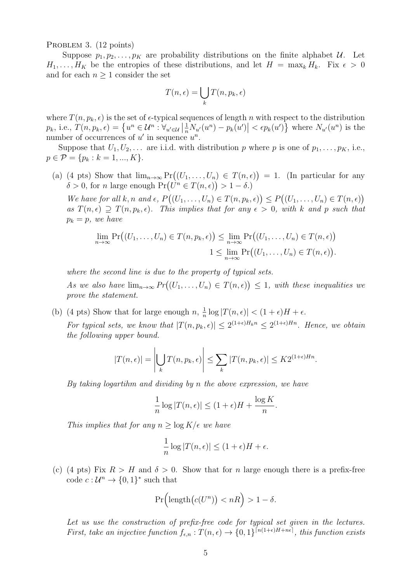PROBLEM 3. (12 points)

Suppose  $p_1, p_2, \ldots, p_k$  are probability distributions on the finite alphabet U. Let  $H_1, \ldots, H_K$  be the entropies of these distributions, and let  $H = \max_k H_k$ . Fix  $\epsilon > 0$ and for each  $n \geq 1$  consider the set

$$
T(n,\epsilon) = \bigcup_{k} T(n, p_k, \epsilon)
$$

where  $T(n, p_k, \epsilon)$  is the set of  $\epsilon$ -typical sequences of length n with respect to the distribution  $p_k$ , i.e.,  $T(n, p_k, \epsilon) = \left\{ u^n \in \mathcal{U}^n : \forall_{u' \in \mathcal{U}} \left| \frac{1}{n} N_{u'}(u^n) - p_k(u') \right| < \epsilon p_k(u') \right\}$  where  $N_{u'}(u^n)$  is the number of occurrences of  $u'$  in sequence  $u^n$ .

Suppose that  $U_1, U_2, \ldots$  are i.i.d. with distribution p where p is one of  $p_1, \ldots, p_K$ , i.e.,  $p \in \mathcal{P} = \{p_k : k = 1, ..., K\}.$ 

(a) (4 pts) Show that  $\lim_{n\to\infty} \Pr((U_1,\ldots,U_n) \in T(n,\epsilon)) = 1$ . (In particular for any  $\delta > 0$ , for *n* large enough  $Pr(U^n \in T(n, \epsilon)) > 1 - \delta$ .

We have for all k, n and  $\epsilon$ ,  $P((U_1,\ldots,U_n) \in T(n,p_k,\epsilon)) \leq P((U_1,\ldots,U_n) \in T(n,\epsilon))$ as  $T(n, \epsilon) \supseteq T(n, p_k, \epsilon)$ . This implies that for any  $\epsilon > 0$ , with k and p such that  $p_k = p$ , we have

$$
\lim_{n \to \infty} \Pr\big((U_1, \dots, U_n) \in T(n, p_k, \epsilon)\big) \leq \lim_{n \to \infty} \Pr\big((U_1, \dots, U_n) \in T(n, \epsilon)\big)
$$
  

$$
1 \leq \lim_{n \to \infty} \Pr\big((U_1, \dots, U_n) \in T(n, \epsilon)\big).
$$

where the second line is due to the property of typical sets.

As we also have  $\lim_{n\to\infty} Pr((U_1,\ldots,U_n) \in T(n,\epsilon)) \leq 1$ , with these inequalities we prove the statement.

(b) (4 pts) Show that for large enough  $n, \frac{1}{n}$  $\frac{1}{n}\log|T(n,\epsilon)| < (1+\epsilon)H + \epsilon.$ For typical sets, we know that  $|T(n, p_k, \epsilon)| \leq 2^{(1+\epsilon)H_k n} \leq 2^{(1+\epsilon)H_n}$ . Hence, we obtain the following upper bound.

$$
|T(n,\epsilon)| = \left| \bigcup_{k} T(n, p_k, \epsilon) \right| \leq \sum_{k} |T(n, p_k, \epsilon)| \leq K 2^{(1+\epsilon)Hn}.
$$

By taking logartihm and dividing by n the above expression, we have

$$
\frac{1}{n}\log |T(n,\epsilon)| \le (1+\epsilon)H + \frac{\log K}{n}.
$$

This implies that for any  $n \geq \log K/\epsilon$  we have

$$
\frac{1}{n}\log|T(n,\epsilon)| \le (1+\epsilon)H + \epsilon.
$$

(c) (4 pts) Fix  $R > H$  and  $\delta > 0$ . Show that for n large enough there is a prefix-free code  $c: \mathcal{U}^n \to \{0,1\}^*$  such that

$$
\Pr\Big(\text{length}\big(c(U^n)\big)< nR\Big)>1-\delta.
$$

Let us use the construction of prefix-free code for typical set given in the lectures. First, take an injective function  $f_{\epsilon,n}: T(n,\epsilon) \to \{0,1\}^{\lceil n(1+\epsilon)H+n\epsilon \rceil}$ , this function exists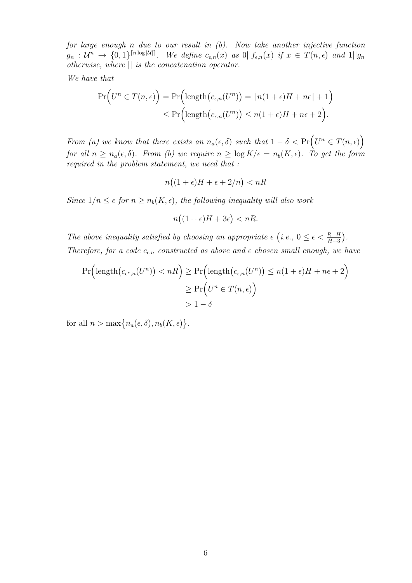for large enough n due to our result in (b). Now take another injective function  $g_n: \mathcal{U}^n \to \{0,1\}^{\lceil n \log |\mathcal{U}| \rceil}$ . We define  $c_{\epsilon,n}(x)$  as  $0 \mid |f_{\epsilon,n}(x)|$  if  $x \in T(n,\epsilon)$  and  $1 \mid |g_n|$ otherwise, where || is the concatenation operator.

We have that

$$
\Pr\Big(U^n \in T(n,\epsilon)\Big) = \Pr\Big(\text{length}\big(c_{\epsilon,n}(U^n)\big) = \lceil n(1+\epsilon)H + n\epsilon \rceil + 1\Big) \leq \Pr\Big(\text{length}\big(c_{\epsilon,n}(U^n)\big) \leq n(1+\epsilon)H + n\epsilon + 2\Big).
$$

From (a) we know that there exists an  $n_a(\epsilon, \delta)$  such that  $1 - \delta < \Pr(U^n \in T(n, \epsilon))$ for all  $n \geq n_a(\epsilon, \delta)$ . From (b) we require  $n \geq \log K/\epsilon = n_b(K, \epsilon)$ . To get the form required in the problem statement, we need that :

$$
n\big((1+\epsilon)H+\epsilon+2/n\big) < n
$$

Since  $1/n \leq \epsilon$  for  $n \geq n_b(K, \epsilon)$ , the following inequality will also work

$$
n\big((1+\epsilon)H+3\epsilon\big)< nR.
$$

The above inequality satisfied by choosing an appropriate  $\epsilon$  (i.e.,  $0 \leq \epsilon < \frac{R-H}{H+3}$ ). Therefore, for a code  $c_{\epsilon,n}$  constructed as above and  $\epsilon$  chosen small enough, we have

$$
\Pr\left(\operatorname{length}\left(c_{\epsilon^*,n}(U^n)\right) < n\right) \ge \Pr\left(\operatorname{length}\left(c_{\epsilon,n}(U^n)\right) \le n(1+\epsilon)H + n\epsilon + 2\right) \ge \Pr\left(U^n \in T(n,\epsilon)\right) \ge 1-\delta
$$

for all  $n > \max\{n_a(\epsilon, \delta), n_b(K, \epsilon)\}.$